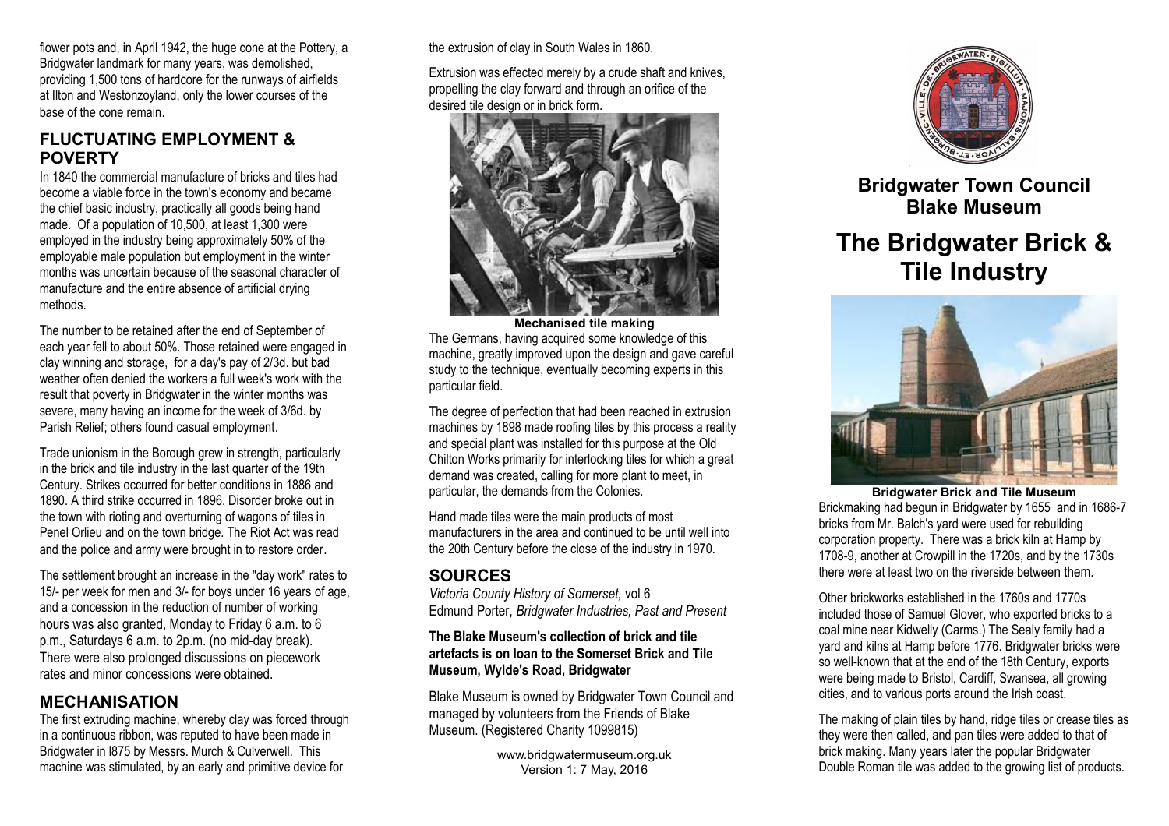flower pots and, in April 1942, the huge cone at the Pottery, a Bridgwater landmark for many years, was demolished, providing 1,500 tons of hardcore for the runways of airfields at Ilton and Westonzoyland, only the lower courses of the base of the cone remain.

## **FLUCTUATING EMPLOYMENT & POVERTY**

In 1840 the commercial manufacture of bricks and tiles had become a viable force in the town's economy and became the chief basic industry, practically all goods being hand made. Of a population of 10,500, at least 1,300 were employed in the industry being approximately 50% of the employable male population but employment in the winter months was uncertain because of the seasonal character of manufacture and the entire absence of artificial drying methods.

The number to be retained after the end of September of each year fell to about 50%. Those retained were engaged in clay winning and storage, for a day's pay of 2/3d. but bad weather often denied the workers a full week's work with the result that poverty in Bridgwater in the winter months was severe, many having an income for the week of 3/6d. by Parish Relief; others found casual employment.

Trade unionism in the Borough grew in strength, particularly in the brick and tile industry in the last quarter of the 19th Century. Strikes occurred for better conditions in 1886 and 1890. A third strike occurred in 1896. Disorder broke out in the town with rioting and overturning of wagons of tiles in Penel Orlieu and on the town bridge. The Riot Act was read and the police and army were brought in to restore order.

The settlement brought an increase in the "day work" rates to 15/- per week for men and 3/- for boys under 16 years of age, and a concession in the reduction of number of working hours was also granted, Monday to Friday 6 a.m. to 6 p.m., Saturdays 6 a.m. to 2p.m. (no mid-day break). There were also prolonged discussions on piecework rates and minor concessions were obtained.

## **MECHANISATION**

The first extruding machine, whereby clay was forced through in a continuous ribbon, was reputed to have been made in Bridgwater in l875 by Messrs. Murch & Culverwell. This machine was stimulated, by an early and primitive device for

the extrusion of clay in South Wales in 1860.

Extrusion was effected merely by a crude shaft and knives, propelling the clay forward and through an orifice of the desired tile design or in brick form.



**Mechanised tile making** The Germans, having acquired some knowledge of this machine, greatly improved upon the design and gave careful study to the technique, eventually becoming experts in this particular field.

The degree of perfection that had been reached in extrusion machines by 1898 made roofing tiles by this process a reality and special plant was installed for this purpose at the Old Chilton Works primarily for interlocking tiles for which a great demand was created, calling for more plant to meet, in particular, the demands from the Colonies.

Hand made tiles were the main products of most manufacturers in the area and continued to be until well into the 20th Century before the close of the industry in 1970.

# **SOURCES**

*Victoria County History of Somerset,* vol 6 Edmund Porter, *Bridgwater Industries, Past and Present*

#### **The Blake Museum's collection of brick and tile artefacts is on loan to the Somerset Brick and Tile Museum, Wylde's Road, Bridgwater**

Blake Museum is owned by Bridgwater Town Council and managed by volunteers from the Friends of Blake Museum. (Registered Charity 1099815)

> www.bridgwatermuseum.org.uk Version 1: 7 May, 2016



**Bridgwater Town Council Blake Museum**

# **The Bridgwater Brick & Tile Industry**



**Bridgwater Brick and Tile Museum** Brickmaking had begun in Bridgwater by 1655 and in 1686-7 bricks from Mr. Balch's yard were used for rebuilding corporation property. There was a brick kiln at Hamp by 1708-9, another at Crowpill in the 1720s, and by the 1730s there were at least two on the riverside between them.

Other brickworks established in the 1760s and 1770s included those of Samuel Glover, who exported bricks to a coal mine near Kidwelly (Carms.) The Sealy family had a yard and kilns at Hamp before 1776. Bridgwater bricks were so well-known that at the end of the 18th Century, exports were being made to Bristol, Cardiff, Swansea, all growing cities, and to various ports around the Irish coast.

The making of plain tiles by hand, ridge tiles or crease tiles as they were then called, and pan tiles were added to that of brick making. Many years later the popular Bridgwater Double Roman tile was added to the growing list of products.